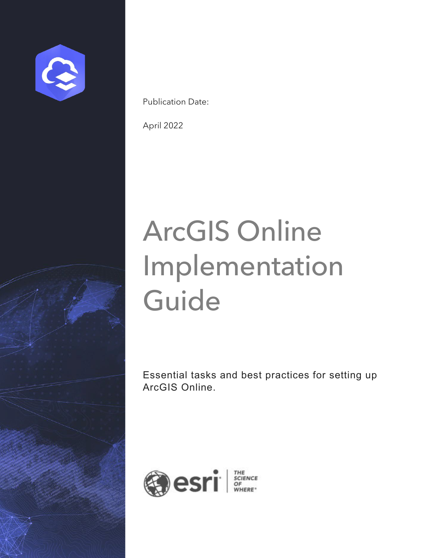

Publication Date:

April 2022

# ArcGIS Online Implementation **Guide**

Essential tasks and best practices for setting up ArcGIS Online.

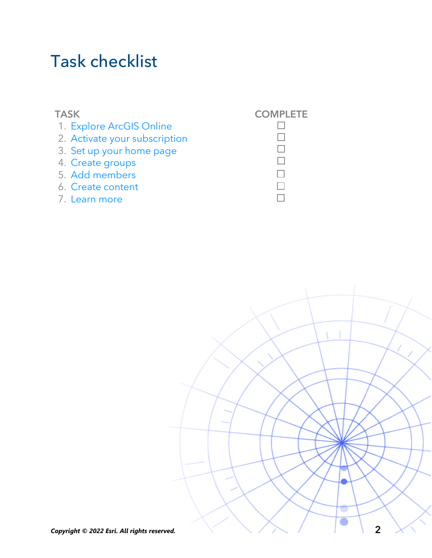### Task checklist

#### TASK COMPLETE 1. [Explore ArcGIS Online](#page-2-0) 2. [Activate your subscription](#page-3-0) 3. [Set up your home page](#page-5-0) 4. [Create groups](#page-6-0) 5. [Add members](#page-7-0) 6. [Create content](#page-9-0) 7. [Learn more](#page-11-0)



 $\Box$  $\Box$  $\Box$  $\Box$  $\Box$  $\Box$  $\Box$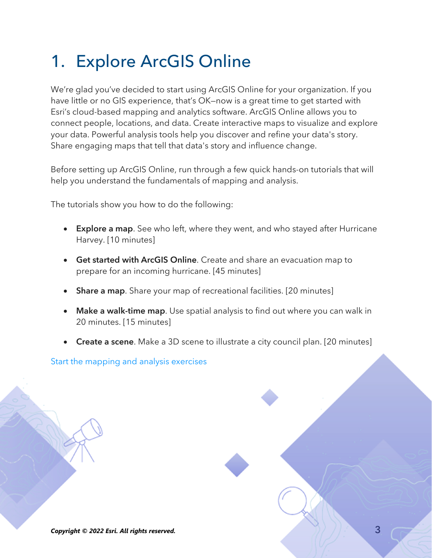# <span id="page-2-0"></span>1. Explore ArcGIS Online

We're glad you've decided to start using ArcGIS Online for your organization. If you have little or no GIS experience, that's OK—now is a great time to get started with Esri's cloud-based mapping and analytics software. ArcGIS Online allows you to connect people, locations, and data. Create interactive maps to visualize and explore your data. Powerful analysis tools help you discover and refine your data's story. Share engaging maps that tell that data's story and influence change.

Before setting up ArcGIS Online, run through a few quick hands-on tutorials that will help you understand the fundamentals of mapping and analysis.

The tutorials show you how to do the following:

- Explore a map. See who left, where they went, and who stayed after Hurricane Harvey. [10 minutes]
- Get started with ArcGIS Online. Create and share an evacuation map to prepare for an incoming hurricane. [45 minutes]
- Share a map. Share your map of recreational facilities. [20 minutes]
- Make a walk-time map. Use spatial analysis to find out where you can walk in 20 minutes. [15 minutes]
- Create a scene. Make a 3D scene to illustrate a city council plan. [20 minutes]

[Start the mapping and analysis exercises](https://learn.arcgis.com/en/paths/try-arcgis-online/)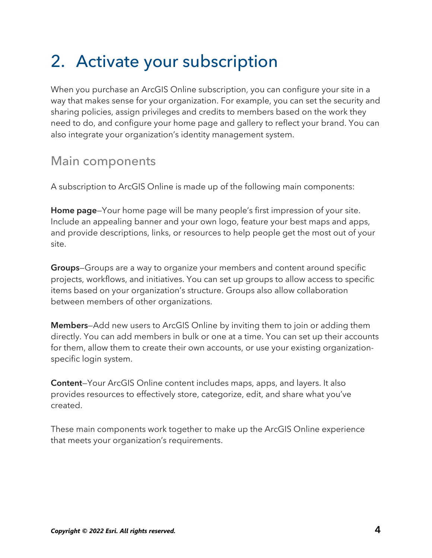# <span id="page-3-0"></span>2. Activate your subscription

When you purchase an ArcGIS Online subscription, you can configure your site in a way that makes sense for your organization. For example, you can set the security and sharing policies, assign privileges and credits to members based on the work they need to do, and configure your home page and gallery to reflect your brand. You can also integrate your organization's identity management system.

### Main components

A subscription to ArcGIS Online is made up of the following main components:

Home page—Your home page will be many people's first impression of your site. Include an appealing banner and your own logo, feature your best maps and apps, and provide descriptions, links, or resources to help people get the most out of your site.

Groups—Groups are a way to organize your members and content around specific projects, workflows, and initiatives. You can set up groups to allow access to specific items based on your organization's structure. Groups also allow collaboration between members of other organizations.

Members—Add new users to ArcGIS Online by inviting them to join or adding them directly. You can add members in bulk or one at a time. You can set up their accounts for them, allow them to create their own accounts, or use your existing organizationspecific login system.

Content—Your ArcGIS Online content includes maps, apps, and layers. It also provides resources to effectively store, categorize, edit, and share what you've created.

These main components work together to make up the ArcGIS Online experience that meets your organization's requirements.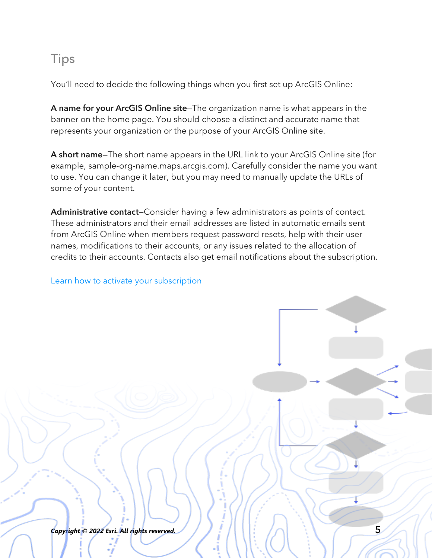### Tips

You'll need to decide the following things when you first set up ArcGIS Online:

A name for your ArcGIS Online site—The organization name is what appears in the banner on the home page. You should choose a distinct and accurate name that represents your organization or the purpose of your ArcGIS Online site.

A short name—The short name appears in the URL link to your ArcGIS Online site (for example, sample-org-name.maps.arcgis.com). Carefully consider the name you want to use. You can change it later, but you may need to manually update the URLs of some of your content.

Administrative contact–Consider having a few administrators as points of contact. These administrators and their email addresses are listed in automatic emails sent from ArcGIS Online when members request password resets, help with their user names, modifications to their accounts, or any issues related to the allocation of credits to their accounts. Contacts also get email notifications about the subscription.

#### [Learn how to activate your subscription](https://doc.arcgis.com/en/arcgis-online/reference/activate-subscription.htm)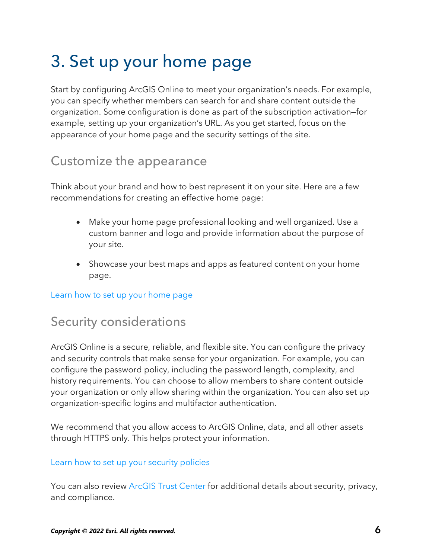# <span id="page-5-0"></span>3. Set up your home page

Start by configuring ArcGIS Online to meet your organization's needs. For example, you can specify whether members can search for and share content outside the organization. Some configuration is done as part of the subscription activation—for example, setting up your organization's URL. As you get started, focus on the appearance of your home page and the security settings of the site.

### Customize the appearance

Think about your brand and how to best represent it on your site. Here are a few recommendations for creating an effective home page:

- Make your home page professional looking and well organized. Use a custom banner and logo and provide information about the purpose of your site.
- Showcase your best maps and apps as featured content on your home page.

[Learn how to set up your home page](https://doc.arcgis.com/en/arcgis-online/administer/configure-home.htm)

### Security considerations

ArcGIS Online is a secure, reliable, and flexible site. You can configure the privacy and security controls that make sense for your organization. For example, you can configure the password policy, including the password length, complexity, and history requirements. You can choose to allow members to share content outside your organization or only allow sharing within the organization. You can also set up organization-specific logins and multifactor authentication.

We recommend that you allow access to ArcGIS Online, data, and all other assets through HTTPS only. This helps protect your information.

#### [Learn how to set up your security policies](https://doc.arcgis.com/en/arcgis-online/administer/configure-security.htm)

You can also review [ArcGIS Trust Center](https://doc.arcgis.com/en/trust/) for additional details about security, privacy, and compliance.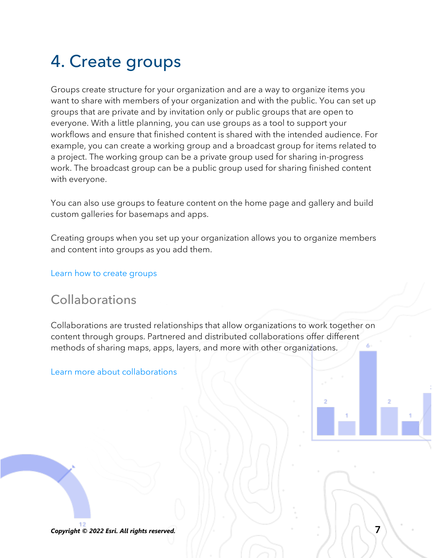# 4. Create groups

<span id="page-6-0"></span>Groups create structure for your organization and are a way to organize items you want to share with members of your organization and with the public. You can set up groups that are private and by invitation only or public groups that are open to everyone. With a little planning, you can use groups as a tool to support your workflows and ensure that finished content is shared with the intended audience. For example, you can create a working group and a broadcast group for items related to a project. The working group can be a private group used for sharing in-progress work. The broadcast group can be a public group used for sharing finished content with everyone.

You can also use groups to feature content on the home page and gallery and build custom galleries for basemaps and apps.

Creating groups when you set up your organization allows you to organize members and content into groups as you add them.

[Learn how to create groups](https://doc.arcgis.com/en/arcgis-online/share-maps/create-groups.htm)

### Collaborations

Collaborations are trusted relationships that allow organizations to work together on content through groups. Partnered and distributed collaborations offer different methods of sharing maps, apps, layers, and more with other organizations.

[Learn more about collaborations](https://doc.arcgis.com/en/arcgis-online/administer/understand-collaborations.htm)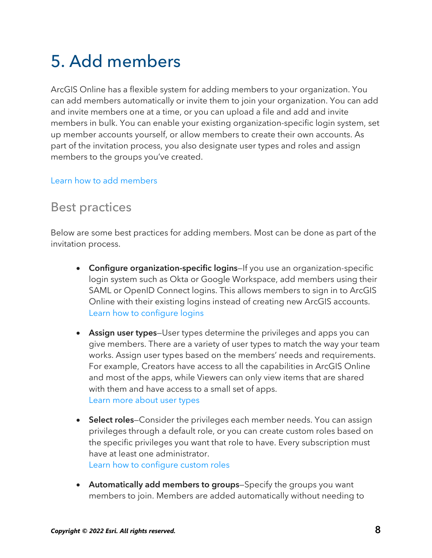# <span id="page-7-0"></span>5. Add members

ArcGIS Online has a flexible system for adding members to your organization. You can add members automatically or invite them to join your organization. You can add and invite members one at a time, or you can upload a file and add and invite members in bulk. You can enable your existing organization-specific login system, set up member accounts yourself, or allow members to create their own accounts. As part of the invitation process, you also designate user types and roles and assign members to the groups you've created.

#### [Learn how to add members](https://doc.arcgis.com/en/arcgis-online/administer/invite-users.htm)

### Best practices

Below are some best practices for adding members. Most can be done as part of the invitation process.

- Configure organization-specific logins–If you use an organization-specific login system such as Okta or Google Workspace, add members using their SAML or OpenID Connect logins. This allows members to sign in to ArcGIS Online with their existing logins instead of creating new ArcGIS accounts. [Learn how to configure logins](https://doc.arcgis.com/en/arcgis-online/administer/configure-security.htm#ESRI_SECTION1_7309D2404B79434589AEA9BEDF3120A8)
- Assign user types-User types determine the privileges and apps you can give members. There are a variety of user types to match the way your team works. Assign user types based on the members' needs and requirements. For example, Creators have access to all the capabilities in ArcGIS Online and most of the apps, while Viewers can only view items that are shared with them and have access to a small set of apps. [Learn more about user types](https://doc.arcgis.com/en/arcgis-online/reference/roles.htm#USER_TYPES)
- Select roles–Consider the privileges each member needs. You can assign privileges through a default role, or you can create custom roles based on the specific privileges you want that role to have. Every subscription must have at least one administrator. [Learn how to configure custom roles](https://doc.arcgis.com/en/arcgis-online/administer/configure-roles.htm)
- Automatically add members to groups–Specify the groups you want members to join. Members are added automatically without needing to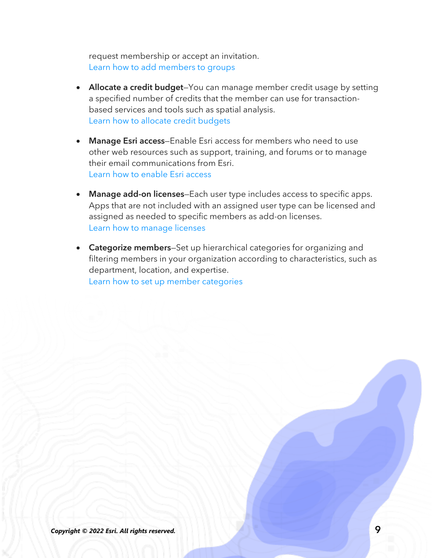request membership or accept an invitation. [Learn how to add members to groups](https://doc.arcgis.com/en/arcgis-online/share-maps/own-groups.htm#ESRI_SECTION1_D7599325DDF54503B8F4E1134E7487DC)

- Allocate a credit budget–You can manage member credit usage by setting a specified number of credits that the member can use for transactionbased services and tools such as spatial analysis. [Learn how to allocate credit budgets](https://doc.arcgis.com/en/arcgis-online/administer/manage-members.htm#ESRI_SECTION1_E36DC11579664B8C88DE0C69F516927F)
- Manage Esri access–Enable Esri access for members who need to use other web resources such as support, training, and forums or to manage their email communications from Esri. [Learn how to enable Esri access](https://doc.arcgis.com/en/arcgis-online/administer/manage-members.htm#ESRI_SECTION1_7CE845E428034AE8A40EF8C1085E2A23)
- Manage add-on licenses–Each user type includes access to specific apps. Apps that are not included with an assigned user type can be licensed and assigned as needed to specific members as add-on licenses. [Learn how to manage licenses](https://doc.arcgis.com/en/arcgis-online/administer/manage-licenses.htm)
- Categorize members–Set up hierarchical categories for organizing and filtering members in your organization according to characteristics, such as department, location, and expertise. [Learn how to set up member categories](https://doc.arcgis.com/en/arcgis-online/administer/manage-members.htm#ESRI_SECTION1_91337F478F8542D9A6D2F1A7B65E0AFF)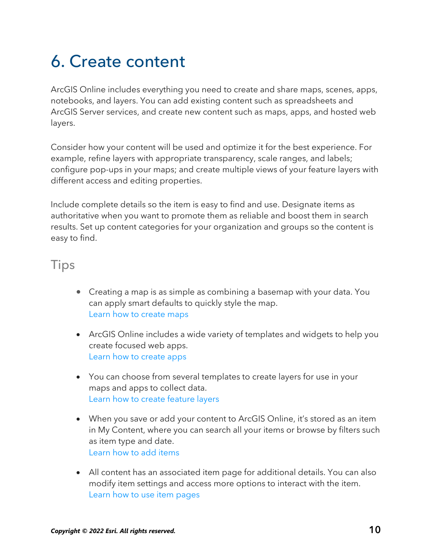# <span id="page-9-0"></span>6. Create content

ArcGIS Online includes everything you need to create and share maps, scenes, apps, notebooks, and layers. You can add existing content such as spreadsheets and ArcGIS Server services, and create new content such as maps, apps, and hosted web layers.

Consider how your content will be used and optimize it for the best experience. For example, refine layers with appropriate transparency, scale ranges, and labels; configure pop-ups in your maps; and create multiple views of your feature layers with different access and editing properties.

Include complete details so the item is easy to find and use. Designate items as authoritative when you want to promote them as reliable and boost them in search results. Set up content categories for your organization and groups so the content is easy to find.

#### **Tips**

- Creating a map is as simple as combining a basemap with your data. You can apply smart defaults to quickly style the map. [Learn how to create maps](https://doc.arcgis.com/en/arcgis-online/get-started/get-started-with-maps.htm)
- ArcGIS Online includes a wide variety of templates and widgets to help you create focused web apps. [Learn how to create apps](https://doc.arcgis.com/en/arcgis-online/get-started/get-started-with-apps.htm)
- You can choose from several templates to create layers for use in your maps and apps to collect data. [Learn how to create feature layers](https://doc.arcgis.com/en/arcgis-online/manage-data/publish-features.htm#ESRI_SECTION1_809F1266856546EF9E6D2CEF3816FD7D)
- When you save or add your content to ArcGIS Online, it's stored as an item in My Content, where you can search all your items or browse by filters such as item type and date. [Learn how to add items](https://doc.arcgis.com/en/arcgis-online/manage-data/add-items.htm)
- All content has an associated item page for additional details. You can also modify item settings and access more options to interact with the item. [Learn how to](https://doc.arcgis.com/en/arcgis-online/manage-data/item-details.htm) use item pages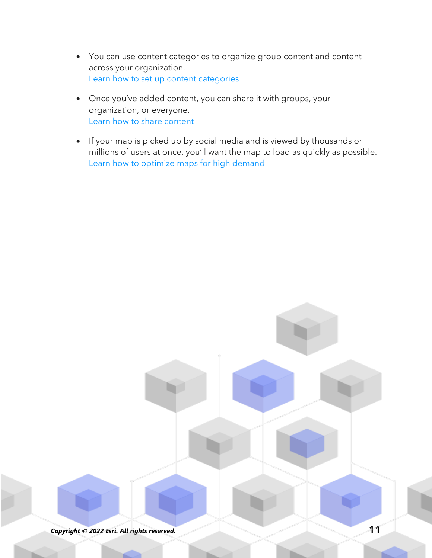- You can use content categories to organize group content and content across your organization. [Learn how to set up](https://doc.arcgis.com/en/arcgis-online/administer/manage-items.htm#ESRI_SECTION1_6EE6EAA55E494C0A9E8391555E7D54F3) content categories
- Once you've added content, you can share it with groups, your organization, or everyone. [Learn how to share content](https://doc.arcgis.com/en/arcgis-online/share-maps/share-items.htm)
- If your map is picked up by social media and is viewed by thousands or millions of users at once, you'll want the map to load as quickly as possible. [Learn how to optimize maps for high demand](https://doc.arcgis.com/en/arcgis-online/reference/best-practices-layers.htm)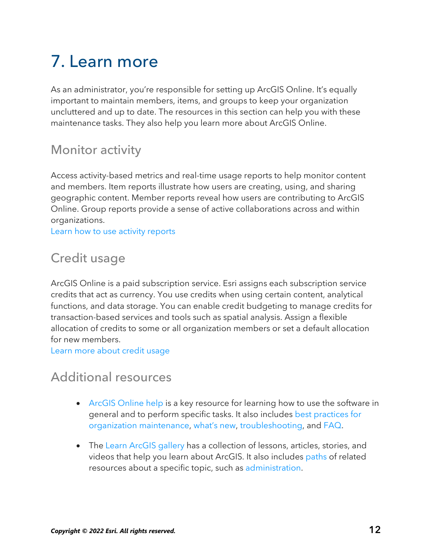# <span id="page-11-0"></span>7. Learn more

As an administrator, you're responsible for setting up ArcGIS Online. It's equally important to maintain members, items, and groups to keep your organization uncluttered and up to date. The resources in this section can help you with these maintenance tasks. They also help you learn more about ArcGIS Online.

### Monitor activity

Access activity-based metrics and real-time usage reports to help monitor content and members. Item reports illustrate how users are creating, using, and sharing geographic content. Member reports reveal how users are contributing to ArcGIS Online. Group reports provide a sense of active collaborations across and within organizations.

[Learn how to use activity reports](https://doc.arcgis.com/en/arcgis-online/administer/view-status.htm)

### Credit usage

ArcGIS Online is a paid subscription service. Esri assigns each subscription service credits that act as currency. You use credits when using certain content, analytical functions, and data storage. You can enable credit budgeting to manage credits for transaction-based services and tools such as spatial analysis. Assign a flexible allocation of credits to some or all organization members or set a default allocation for new members.

[Learn more about credit usage](https://doc.arcgis.com/en/arcgis-online/reference/credits.htm)

### Additional resources

- [ArcGIS Online help](https://doc.arcgis.com/en/arcgis-online/administer/get-started-with-administration.htm) is a key resource for learning how to use the software in general and to perform specific tasks. It also includes [best practices for](https://doc.arcgis.com/en/arcgis-online/reference/best-practices-maintenance.htm)  [organization maintenance,](https://doc.arcgis.com/en/arcgis-online/reference/best-practices-maintenance.htm) [what's new,](https://doc.arcgis.com/en/arcgis-online/reference/whats-new.htm) [troubleshooting,](https://doc.arcgis.com/en/arcgis-online/reference/troubleshoot.htm) and [FAQ.](https://doc.arcgis.com/en/arcgis-online/reference/faq.htm)
- The [Learn ArcGIS gallery](https://learn.arcgis.com/en/gallery) has a collection of lessons, articles, stories, and videos that help you learn about ArcGIS. It also includes [paths](https://learn.arcgis.com/en/gallery/#?t=path) of related resources about a specific topic, such as [administration.](https://learn.arcgis.com/en/paths/administration/)